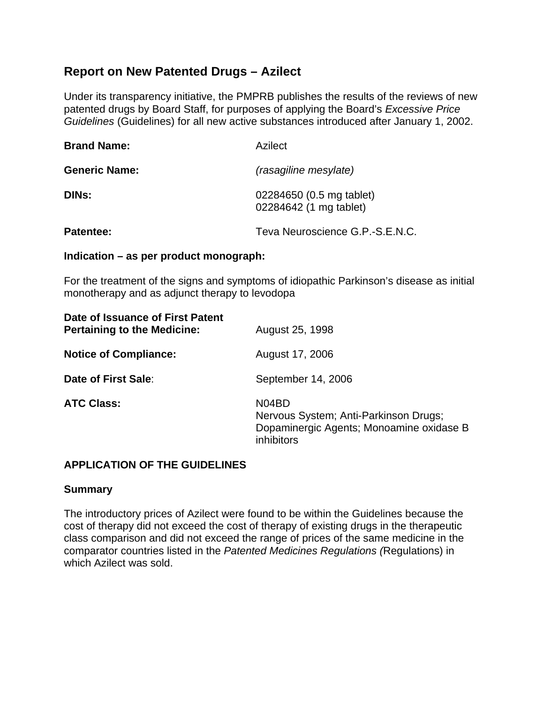# **Report on New Patented Drugs – Azilect**

Under its transparency initiative, the PMPRB publishes the results of the reviews of new patented drugs by Board Staff, for purposes of applying the Board's *Excessive Price Guidelines* (Guidelines) for all new active substances introduced after January 1, 2002.

| <b>Brand Name:</b>   | Azilect                                            |  |  |
|----------------------|----------------------------------------------------|--|--|
| <b>Generic Name:</b> | (rasagiline mesylate)                              |  |  |
| <b>DINS:</b>         | 02284650 (0.5 mg tablet)<br>02284642 (1 mg tablet) |  |  |
| Patentee:            | Teva Neuroscience G.P.-S.E.N.C.                    |  |  |

#### **Indication – as per product monograph:**

For the treatment of the signs and symptoms of idiopathic Parkinson's disease as initial monotherapy and as adjunct therapy to levodopa

| Date of Issuance of First Patent<br><b>Pertaining to the Medicine:</b> | August 25, 1998                                                                                          |  |  |
|------------------------------------------------------------------------|----------------------------------------------------------------------------------------------------------|--|--|
| <b>Notice of Compliance:</b>                                           | August 17, 2006                                                                                          |  |  |
| Date of First Sale:                                                    | September 14, 2006                                                                                       |  |  |
| <b>ATC Class:</b>                                                      | N04BD<br>Nervous System; Anti-Parkinson Drugs;<br>Dopaminergic Agents; Monoamine oxidase B<br>inhibitors |  |  |

### **APPLICATION OF THE GUIDELINES**

### **Summary**

The introductory prices of Azilect were found to be within the Guidelines because the cost of therapy did not exceed the cost of therapy of existing drugs in the therapeutic class comparison and did not exceed the range of prices of the same medicine in the comparator countries listed in the *Patented Medicines Regulations (*Regulations) in which Azilect was sold.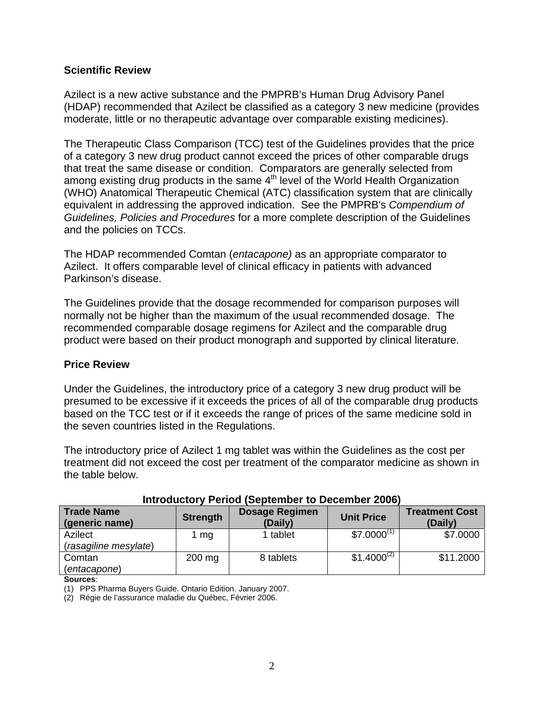### **Scientific Review**

Azilect is a new active substance and the PMPRB's Human Drug Advisory Panel (HDAP) recommended that Azilect be classified as a category 3 new medicine (provides moderate, little or no therapeutic advantage over comparable existing medicines).

The Therapeutic Class Comparison (TCC) test of the Guidelines provides that the price of a category 3 new drug product cannot exceed the prices of other comparable drugs that treat the same disease or condition. Comparators are generally selected from among existing drug products in the same  $4<sup>th</sup>$  level of the World Health Organization (WHO) Anatomical Therapeutic Chemical (ATC) classification system that are clinically equivalent in addressing the approved indication. See the PMPRB's *Compendium of Guidelines, Policies and Procedures* for a more complete description of the Guidelines and the policies on TCCs.

The HDAP recommended Comtan (*entacapone)* as an appropriate comparator to Azilect. It offers comparable level of clinical efficacy in patients with advanced Parkinson's disease.

The Guidelines provide that the dosage recommended for comparison purposes will normally not be higher than the maximum of the usual recommended dosage. The recommended comparable dosage regimens for Azilect and the comparable drug product were based on their product monograph and supported by clinical literature.

### **Price Review**

Under the Guidelines, the introductory price of a category 3 new drug product will be presumed to be excessive if it exceeds the prices of all of the comparable drug products based on the TCC test or if it exceeds the range of prices of the same medicine sold in the seven countries listed in the Regulations.

The introductory price of Azilect 1 mg tablet was within the Guidelines as the cost per treatment did not exceed the cost per treatment of the comparator medicine as shown in the table below.

| <b>Trade Name</b><br>(generic name) | <b>Strength</b> | <b>Dosage Regimen</b><br>(Daily) | <b>Unit Price</b> | <b>Treatment Cost</b><br>(Daily) |
|-------------------------------------|-----------------|----------------------------------|-------------------|----------------------------------|
| Azilect                             | mg              | 1 tablet                         | $$7.0000^{(1)}$   | \$7.0000                         |
| (rasagiline mesylate)               |                 |                                  |                   |                                  |
| Comtan                              | $200$ mg        | 8 tablets                        | $$1.4000^{(2)}$   | \$11.2000                        |
| (entacapone)                        |                 |                                  |                   |                                  |

## **Introductory Period (September to December 2006)**

**Sources**:

(1) PPS Pharma Buyers Guide. Ontario Edition. January 2007.

(2) Régie de l'assurance maladie du Québec, Février 2006.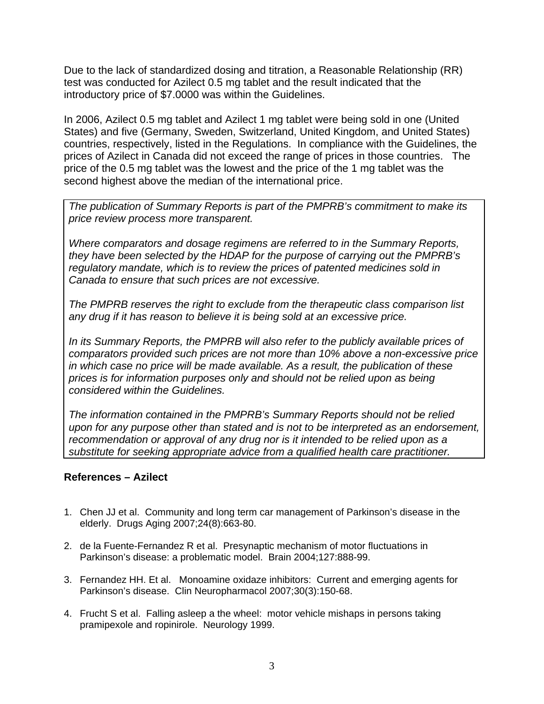Due to the lack of standardized dosing and titration, a Reasonable Relationship (RR) test was conducted for Azilect 0.5 mg tablet and the result indicated that the introductory price of \$7.0000 was within the Guidelines.

In 2006, Azilect 0.5 mg tablet and Azilect 1 mg tablet were being sold in one (United States) and five (Germany, Sweden, Switzerland, United Kingdom, and United States) countries, respectively, listed in the Regulations. In compliance with the Guidelines, the prices of Azilect in Canada did not exceed the range of prices in those countries. The price of the 0.5 mg tablet was the lowest and the price of the 1 mg tablet was the second highest above the median of the international price.

*The publication of Summary Reports is part of the PMPRB's commitment to make its price review process more transparent.* 

*Where comparators and dosage regimens are referred to in the Summary Reports, they have been selected by the HDAP for the purpose of carrying out the PMPRB's regulatory mandate, which is to review the prices of patented medicines sold in Canada to ensure that such prices are not excessive.* 

*The PMPRB reserves the right to exclude from the therapeutic class comparison list any drug if it has reason to believe it is being sold at an excessive price.* 

*In its Summary Reports, the PMPRB will also refer to the publicly available prices of comparators provided such prices are not more than 10% above a non-excessive price in which case no price will be made available. As a result, the publication of these prices is for information purposes only and should not be relied upon as being considered within the Guidelines.* 

*The information contained in the PMPRB's Summary Reports should not be relied upon for any purpose other than stated and is not to be interpreted as an endorsement,*  recommendation or approval of any drug nor is it intended to be relied upon as a *substitute for seeking appropriate advice from a qualified health care practitioner.* 

### **References – Azilect**

- 1. Chen JJ et al. Community and long term car management of Parkinson's disease in the elderly. Drugs Aging 2007;24(8):663-80.
- 2. de la Fuente-Fernandez R et al. Presynaptic mechanism of motor fluctuations in Parkinson's disease: a problematic model. Brain 2004;127:888-99.
- 3. Fernandez HH. Et al. Monoamine oxidaze inhibitors: Current and emerging agents for Parkinson's disease. Clin Neuropharmacol 2007;30(3):150-68.
- 4. Frucht S et al. Falling asleep a the wheel: motor vehicle mishaps in persons taking pramipexole and ropinirole. Neurology 1999.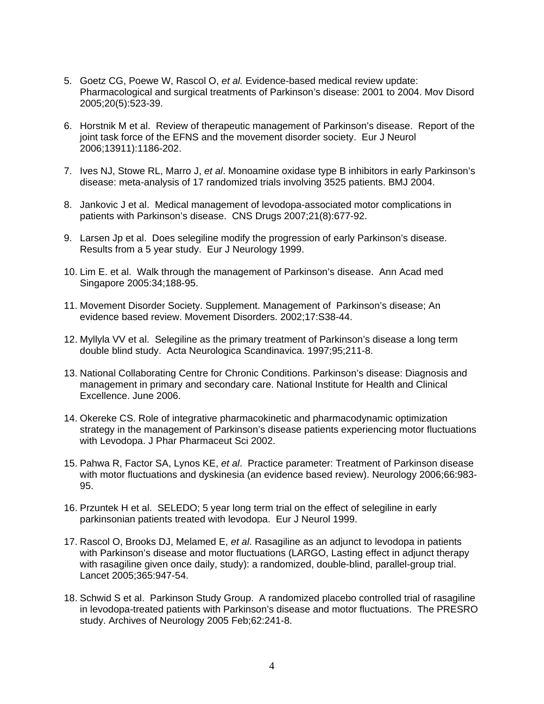- 5. Goetz CG, Poewe W, Rascol O, *et al.* Evidence-based medical review update: Pharmacological and surgical treatments of Parkinson's disease: 2001 to 2004. Mov Disord 2005;20(5):523-39.
- 6. Horstnik M et al. Review of therapeutic management of Parkinson's disease. Report of the joint task force of the EFNS and the movement disorder society. Eur J Neurol 2006;13911):1186-202.
- 7. Ives NJ, Stowe RL, Marro J, *et al*. Monoamine oxidase type B inhibitors in early Parkinson's disease: meta-analysis of 17 randomized trials involving 3525 patients. BMJ 2004.
- 8. Jankovic J et al. Medical management of levodopa-associated motor complications in patients with Parkinson's disease. CNS Drugs 2007;21(8):677-92.
- 9. Larsen Jp et al. Does selegiline modify the progression of early Parkinson's disease. Results from a 5 year study. Eur J Neurology 1999.
- 10. Lim E. et al. Walk through the management of Parkinson's disease. Ann Acad med Singapore 2005:34;188-95.
- 11. Movement Disorder Society. Supplement. Management of Parkinson's disease; An evidence based review. Movement Disorders. 2002;17:S38-44.
- 12. Myllyla VV et al. Selegiline as the primary treatment of Parkinson's disease a long term double blind study. Acta Neurologica Scandinavica. 1997;95;211-8.
- 13. National Collaborating Centre for Chronic Conditions. Parkinson's disease: Diagnosis and management in primary and secondary care. National Institute for Health and Clinical Excellence. June 2006.
- 14. Okereke CS. Role of integrative pharmacokinetic and pharmacodynamic optimization strategy in the management of Parkinson's disease patients experiencing motor fluctuations with Levodopa. J Phar Pharmaceut Sci 2002.
- 15. Pahwa R, Factor SA, Lynos KE, *et al*. Practice parameter: Treatment of Parkinson disease with motor fluctuations and dyskinesia (an evidence based review). Neurology 2006;66:983- 95.
- 16. Przuntek H et al. SELEDO; 5 year long term trial on the effect of selegiline in early parkinsonian patients treated with levodopa. Eur J Neurol 1999.
- 17. Rascol O, Brooks DJ, Melamed E, *et al*. Rasagiline as an adjunct to levodopa in patients with Parkinson's disease and motor fluctuations (LARGO, Lasting effect in adjunct therapy with rasagiline given once daily, study): a randomized, double-blind, parallel-group trial. Lancet 2005;365:947-54.
- 18. Schwid S et al. Parkinson Study Group. A randomized placebo controlled trial of rasagiline in levodopa-treated patients with Parkinson's disease and motor fluctuations. The PRESRO study. Archives of Neurology 2005 Feb;62:241-8.